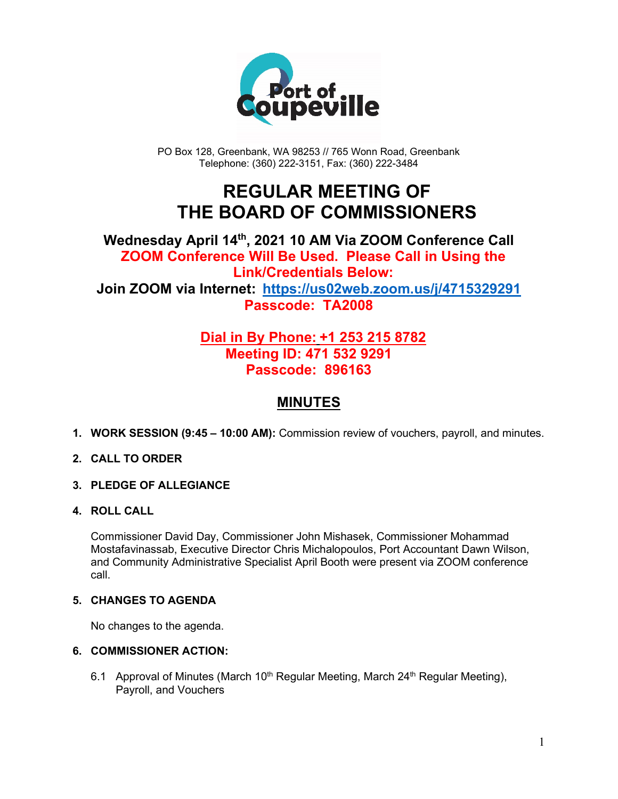

PO Box 128, Greenbank, WA 98253 // 765 Wonn Road, Greenbank Telephone: (360) 222-3151, Fax: (360) 222-3484

## **REGULAR MEETING OF THE BOARD OF COMMISSIONERS**

## **Wednesday April 14th, 2021 10 AM Via ZOOM Conference Call ZOOM Conference Will Be Used. Please Call in Using the Link/Credentials Below: Join ZOOM via Internet: <https://us02web.zoom.us/j/4715329291> Passcode: TA2008**

## **Dial in By Phone: +1 253 215 8782 Meeting ID: 471 532 9291 Passcode: 896163**

## **MINUTES**

**1. WORK SESSION (9:45 – 10:00 AM):** Commission review of vouchers, payroll, and minutes.

#### **2. CALL TO ORDER**

- **3. PLEDGE OF ALLEGIANCE**
- **4. ROLL CALL**

Commissioner David Day, Commissioner John Mishasek, Commissioner Mohammad Mostafavinassab, Executive Director Chris Michalopoulos, Port Accountant Dawn Wilson, and Community Administrative Specialist April Booth were present via ZOOM conference call.

#### **5. CHANGES TO AGENDA**

No changes to the agenda.

#### **6. COMMISSIONER ACTION:**

6.1 Approval of Minutes (March 10<sup>th</sup> Regular Meeting, March 24<sup>th</sup> Regular Meeting), Payroll, and Vouchers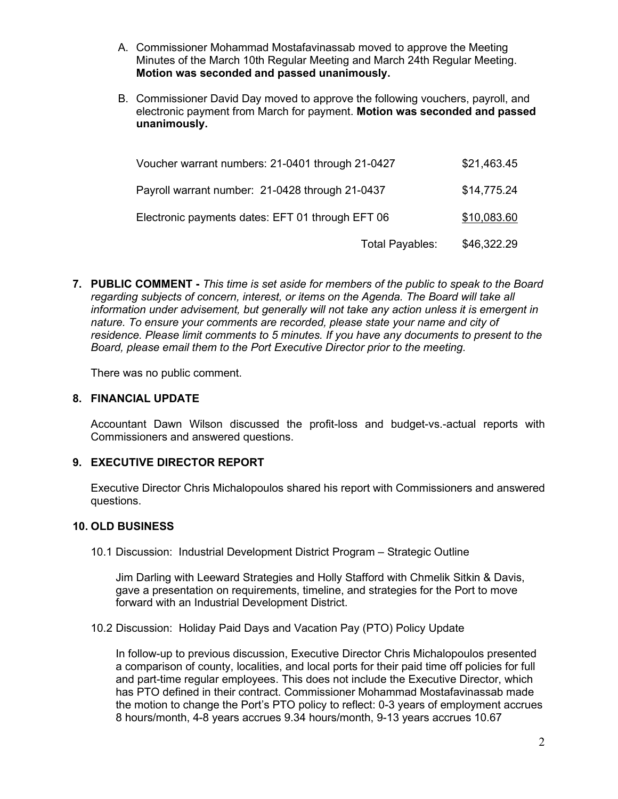- A. Commissioner Mohammad Mostafavinassab moved to approve the Meeting Minutes of the March 10th Regular Meeting and March 24th Regular Meeting. **Motion was seconded and passed unanimously.**
- B. Commissioner David Day moved to approve the following vouchers, payroll, and electronic payment from March for payment. **Motion was seconded and passed unanimously.**

| Voucher warrant numbers: 21-0401 through 21-0427 | \$21,463.45 |
|--------------------------------------------------|-------------|
| Payroll warrant number: 21-0428 through 21-0437  | \$14,775.24 |
| Electronic payments dates: EFT 01 through EFT 06 | \$10,083.60 |
| Total Payables:                                  | \$46,322.29 |

**7. PUBLIC COMMENT -** *This time is set aside for members of the public to speak to the Board regarding subjects of concern, interest, or items on the Agenda. The Board will take all information under advisement, but generally will not take any action unless it is emergent in nature. To ensure your comments are recorded, please state your name and city of residence. Please limit comments to 5 minutes. If you have any documents to present to the Board, please email them to the Port Executive Director prior to the meeting.*

There was no public comment.

#### **8. FINANCIAL UPDATE**

Accountant Dawn Wilson discussed the profit-loss and budget-vs.-actual reports with Commissioners and answered questions.

#### **9. EXECUTIVE DIRECTOR REPORT**

Executive Director Chris Michalopoulos shared his report with Commissioners and answered questions.

#### **10. OLD BUSINESS**

10.1 Discussion: Industrial Development District Program – Strategic Outline

Jim Darling with Leeward Strategies and Holly Stafford with Chmelik Sitkin & Davis, gave a presentation on requirements, timeline, and strategies for the Port to move forward with an Industrial Development District.

10.2 Discussion: Holiday Paid Days and Vacation Pay (PTO) Policy Update

In follow-up to previous discussion, Executive Director Chris Michalopoulos presented a comparison of county, localities, and local ports for their paid time off policies for full and part-time regular employees. This does not include the Executive Director, which has PTO defined in their contract. Commissioner Mohammad Mostafavinassab made the motion to change the Port's PTO policy to reflect: 0-3 years of employment accrues 8 hours/month, 4-8 years accrues 9.34 hours/month, 9-13 years accrues 10.67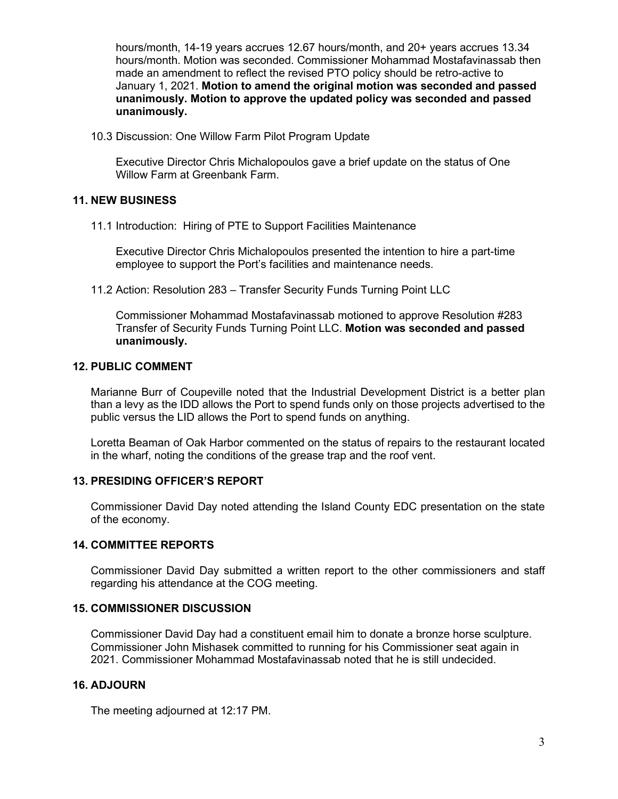hours/month, 14-19 years accrues 12.67 hours/month, and 20+ years accrues 13.34 hours/month. Motion was seconded. Commissioner Mohammad Mostafavinassab then made an amendment to reflect the revised PTO policy should be retro-active to January 1, 2021. **Motion to amend the original motion was seconded and passed unanimously. Motion to approve the updated policy was seconded and passed unanimously.**

10.3 Discussion: One Willow Farm Pilot Program Update

Executive Director Chris Michalopoulos gave a brief update on the status of One Willow Farm at Greenbank Farm.

#### **11. NEW BUSINESS**

11.1 Introduction: Hiring of PTE to Support Facilities Maintenance

Executive Director Chris Michalopoulos presented the intention to hire a part-time employee to support the Port's facilities and maintenance needs.

11.2 Action: Resolution 283 – Transfer Security Funds Turning Point LLC

Commissioner Mohammad Mostafavinassab motioned to approve Resolution #283 Transfer of Security Funds Turning Point LLC. **Motion was seconded and passed unanimously.**

#### **12. PUBLIC COMMENT**

Marianne Burr of Coupeville noted that the Industrial Development District is a better plan than a levy as the IDD allows the Port to spend funds only on those projects advertised to the public versus the LID allows the Port to spend funds on anything.

Loretta Beaman of Oak Harbor commented on the status of repairs to the restaurant located in the wharf, noting the conditions of the grease trap and the roof vent.

#### **13. PRESIDING OFFICER'S REPORT**

Commissioner David Day noted attending the Island County EDC presentation on the state of the economy.

#### **14. COMMITTEE REPORTS**

Commissioner David Day submitted a written report to the other commissioners and staff regarding his attendance at the COG meeting.

#### **15. COMMISSIONER DISCUSSION**

Commissioner David Day had a constituent email him to donate a bronze horse sculpture. Commissioner John Mishasek committed to running for his Commissioner seat again in 2021. Commissioner Mohammad Mostafavinassab noted that he is still undecided.

#### **16. ADJOURN**

The meeting adjourned at 12:17 PM.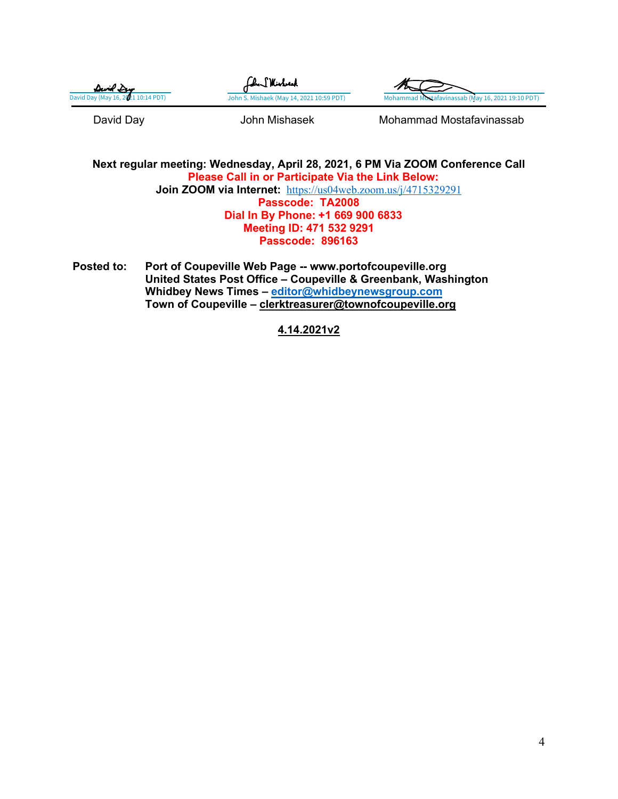| Durid Dug                          | (chnnf Wirhard                           |                                                   |
|------------------------------------|------------------------------------------|---------------------------------------------------|
| David Day (May 16, 2021 10:14 PDT) | John S. Mishaek (May 14, 2021 10:59 PDT) | Mohammad Mostafavinassab (May 16, 2021 19:10 PDT) |
| David Day                          | John Mishasek                            | Mohammad Mostafavinassab                          |

**Next regular meeting: Wednesday, April 28, 2021, 6 PM Via ZOOM Conference Call Please Call in or Participate Via the Link Below: Join ZOOM via Internet:** <https://us04web.zoom.us/j/4715329291> **Passcode: TA2008 Dial In By Phone: +1 669 900 6833 Meeting ID: 471 532 9291 Passcode: 896163**

**Posted to: Port of Coupeville Web Page -- www.portofcoupeville.org United States Post Office – Coupeville & Greenbank, Washington Whidbey News Times – [editor@whidbeynewsgroup.com](mailto:editor@whidbeynewsgroup.com) Town of Coupeville – [clerktreasurer@townofcoupeville.org](mailto:clerktreasurer@townofcoupeville.org)**

**4.14.2021v2**